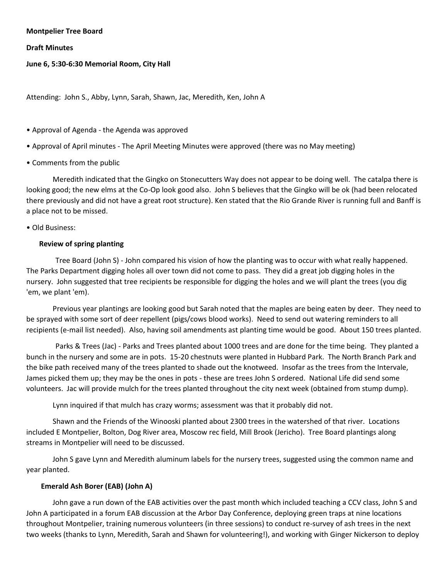#### **Montpelier Tree Board**

**Draft Minutes** 

## **June 6, 5:30-6:30 Memorial Room, City Hall**

Attending: John S., Abby, Lynn, Sarah, Shawn, Jac, Meredith, Ken, John A

- Approval of Agenda the Agenda was approved
- Approval of April minutes The April Meeting Minutes were approved (there was no May meeting)
- Comments from the public

Meredith indicated that the Gingko on Stonecutters Way does not appear to be doing well. The catalpa there is looking good; the new elms at the Co-Op look good also. John S believes that the Gingko will be ok (had been relocated there previously and did not have a great root structure). Ken stated that the Rio Grande River is running full and Banff is a place not to be missed.

• Old Business:

#### **Review of spring planting**

 Tree Board (John S) - John compared his vision of how the planting was to occur with what really happened. The Parks Department digging holes all over town did not come to pass. They did a great job digging holes in the nursery. John suggested that tree recipients be responsible for digging the holes and we will plant the trees (you dig 'em, we plant 'em).

Previous year plantings are looking good but Sarah noted that the maples are being eaten by deer. They need to be sprayed with some sort of deer repellent (pigs/cows blood works). Need to send out watering reminders to all recipients (e-mail list needed). Also, having soil amendments ast planting time would be good. About 150 trees planted.

 Parks & Trees (Jac) - Parks and Trees planted about 1000 trees and are done for the time being. They planted a bunch in the nursery and some are in pots. 15-20 chestnuts were planted in Hubbard Park. The North Branch Park and the bike path received many of the trees planted to shade out the knotweed. Insofar as the trees from the Intervale, James picked them up; they may be the ones in pots - these are trees John S ordered. National Life did send some volunteers. Jac will provide mulch for the trees planted throughout the city next week (obtained from stump dump).

Lynn inquired if that mulch has crazy worms; assessment was that it probably did not.

Shawn and the Friends of the Winooski planted about 2300 trees in the watershed of that river. Locations included E Montpelier, Bolton, Dog River area, Moscow rec field, Mill Brook (Jericho). Tree Board plantings along streams in Montpelier will need to be discussed.

John S gave Lynn and Meredith aluminum labels for the nursery trees, suggested using the common name and year planted.

## **Emerald Ash Borer (EAB) (John A)**

John gave a run down of the EAB activities over the past month which included teaching a CCV class, John S and John A participated in a forum EAB discussion at the Arbor Day Conference, deploying green traps at nine locations throughout Montpelier, training numerous volunteers (in three sessions) to conduct re-survey of ash trees in the next two weeks (thanks to Lynn, Meredith, Sarah and Shawn for volunteering!), and working with Ginger Nickerson to deploy